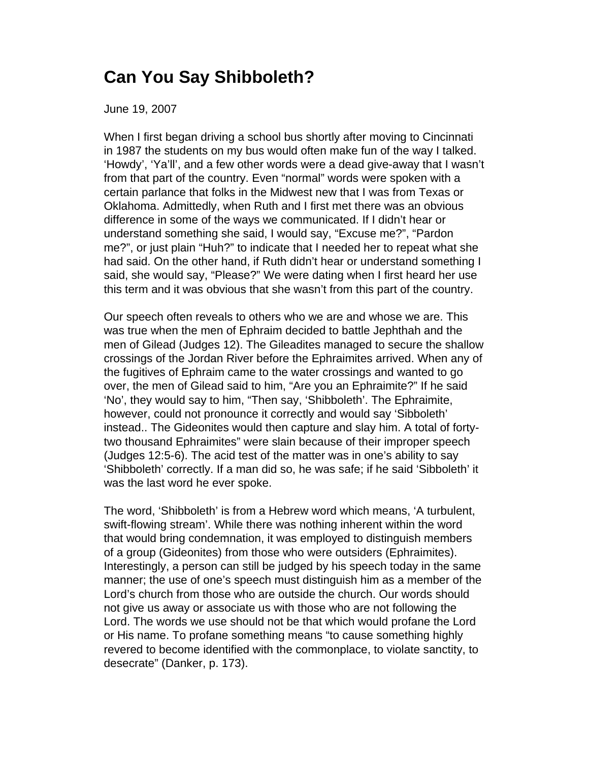## **Can You Say Shibboleth?**

June 19, 2007

When I first began driving a school bus shortly after moving to Cincinnati in 1987 the students on my bus would often make fun of the way I talked. 'Howdy', 'Ya'll', and a few other words were a dead give-away that I wasn't from that part of the country. Even "normal" words were spoken with a certain parlance that folks in the Midwest new that I was from Texas or Oklahoma. Admittedly, when Ruth and I first met there was an obvious difference in some of the ways we communicated. If I didn't hear or understand something she said, I would say, "Excuse me?", "Pardon me?", or just plain "Huh?" to indicate that I needed her to repeat what she had said. On the other hand, if Ruth didn't hear or understand something I said, she would say, "Please?" We were dating when I first heard her use this term and it was obvious that she wasn't from this part of the country.

Our speech often reveals to others who we are and whose we are. This was true when the men of Ephraim decided to battle Jephthah and the men of Gilead (Judges 12). The Gileadites managed to secure the shallow crossings of the Jordan River before the Ephraimites arrived. When any of the fugitives of Ephraim came to the water crossings and wanted to go over, the men of Gilead said to him, "Are you an Ephraimite?" If he said 'No', they would say to him, "Then say, 'Shibboleth'. The Ephraimite, however, could not pronounce it correctly and would say 'Sibboleth' instead.. The Gideonites would then capture and slay him. A total of fortytwo thousand Ephraimites" were slain because of their improper speech (Judges 12:5-6). The acid test of the matter was in one's ability to say 'Shibboleth' correctly. If a man did so, he was safe; if he said 'Sibboleth' it was the last word he ever spoke.

The word, 'Shibboleth' is from a Hebrew word which means, 'A turbulent, swift-flowing stream'. While there was nothing inherent within the word that would bring condemnation, it was employed to distinguish members of a group (Gideonites) from those who were outsiders (Ephraimites). Interestingly, a person can still be judged by his speech today in the same manner; the use of one's speech must distinguish him as a member of the Lord's church from those who are outside the church. Our words should not give us away or associate us with those who are not following the Lord. The words we use should not be that which would profane the Lord or His name. To profane something means "to cause something highly revered to become identified with the commonplace, to violate sanctity, to desecrate" (Danker, p. 173).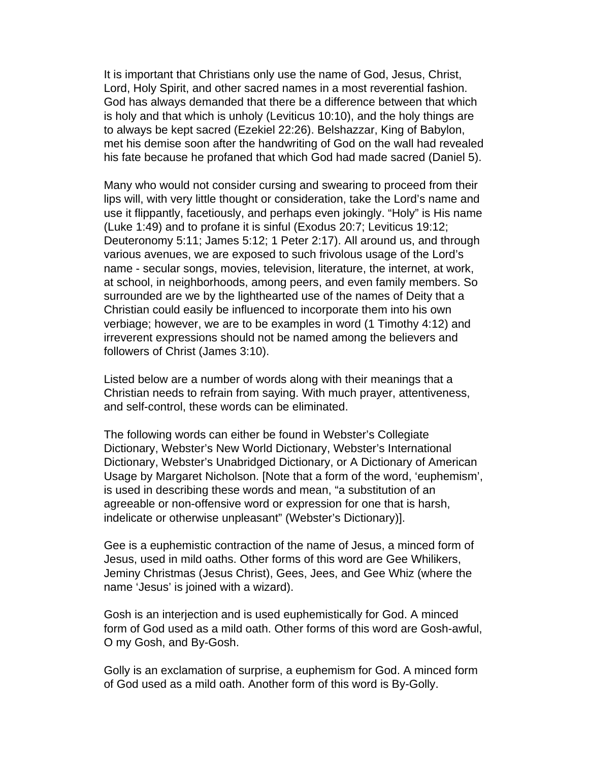It is important that Christians only use the name of God, Jesus, Christ, Lord, Holy Spirit, and other sacred names in a most reverential fashion. God has always demanded that there be a difference between that which is holy and that which is unholy (Leviticus 10:10), and the holy things are to always be kept sacred (Ezekiel 22:26). Belshazzar, King of Babylon, met his demise soon after the handwriting of God on the wall had revealed his fate because he profaned that which God had made sacred (Daniel 5).

Many who would not consider cursing and swearing to proceed from their lips will, with very little thought or consideration, take the Lord's name and use it flippantly, facetiously, and perhaps even jokingly. "Holy" is His name (Luke 1:49) and to profane it is sinful (Exodus 20:7; Leviticus 19:12; Deuteronomy 5:11; James 5:12; 1 Peter 2:17). All around us, and through various avenues, we are exposed to such frivolous usage of the Lord's name - secular songs, movies, television, literature, the internet, at work, at school, in neighborhoods, among peers, and even family members. So surrounded are we by the lighthearted use of the names of Deity that a Christian could easily be influenced to incorporate them into his own verbiage; however, we are to be examples in word (1 Timothy 4:12) and irreverent expressions should not be named among the believers and followers of Christ (James 3:10).

Listed below are a number of words along with their meanings that a Christian needs to refrain from saying. With much prayer, attentiveness, and self-control, these words can be eliminated.

The following words can either be found in Webster's Collegiate Dictionary, Webster's New World Dictionary, Webster's International Dictionary, Webster's Unabridged Dictionary, or A Dictionary of American Usage by Margaret Nicholson. [Note that a form of the word, 'euphemism', is used in describing these words and mean, "a substitution of an agreeable or non-offensive word or expression for one that is harsh, indelicate or otherwise unpleasant" (Webster's Dictionary)].

Gee is a euphemistic contraction of the name of Jesus, a minced form of Jesus, used in mild oaths. Other forms of this word are Gee Whilikers, Jeminy Christmas (Jesus Christ), Gees, Jees, and Gee Whiz (where the name 'Jesus' is joined with a wizard).

Gosh is an interjection and is used euphemistically for God. A minced form of God used as a mild oath. Other forms of this word are Gosh-awful, O my Gosh, and By-Gosh.

Golly is an exclamation of surprise, a euphemism for God. A minced form of God used as a mild oath. Another form of this word is By-Golly.